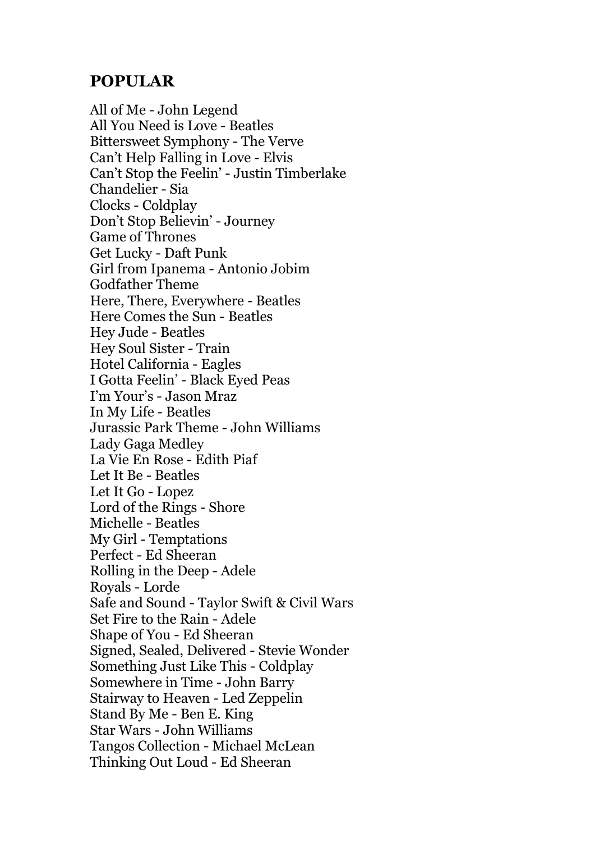## **POPULAR**

All of Me - John Legend All You Need is Love - Beatles Bittersweet Symphony - The Verve Can't Help Falling in Love - Elvis Can't Stop the Feelin' - Justin Timberlake Chandelier - Sia Clocks - Coldplay Don't Stop Believin' - Journey Game of Thrones Get Lucky - Daft Punk Girl from Ipanema - Antonio Jobim Godfather Theme Here, There, Everywhere - Beatles Here Comes the Sun - Beatles Hey Jude - Beatles Hey Soul Sister - Train Hotel California - Eagles I Gotta Feelin' - Black Eyed Peas I'm Your's - Jason Mraz In My Life - Beatles Jurassic Park Theme - John Williams Lady Gaga Medley La Vie En Rose - Edith Piaf Let It Be - Beatles Let It Go - Lopez Lord of the Rings - Shore Michelle - Beatles My Girl - Temptations Perfect - Ed Sheeran Rolling in the Deep - Adele Royals - Lorde Safe and Sound - Taylor Swift & Civil Wars Set Fire to the Rain - Adele Shape of You - Ed Sheeran Signed, Sealed, Delivered - Stevie Wonder Something Just Like This - Coldplay Somewhere in Time - John Barry Stairway to Heaven - Led Zeppelin Stand By Me - Ben E. King Star Wars - John Williams Tangos Collection - Michael McLean Thinking Out Loud - Ed Sheeran